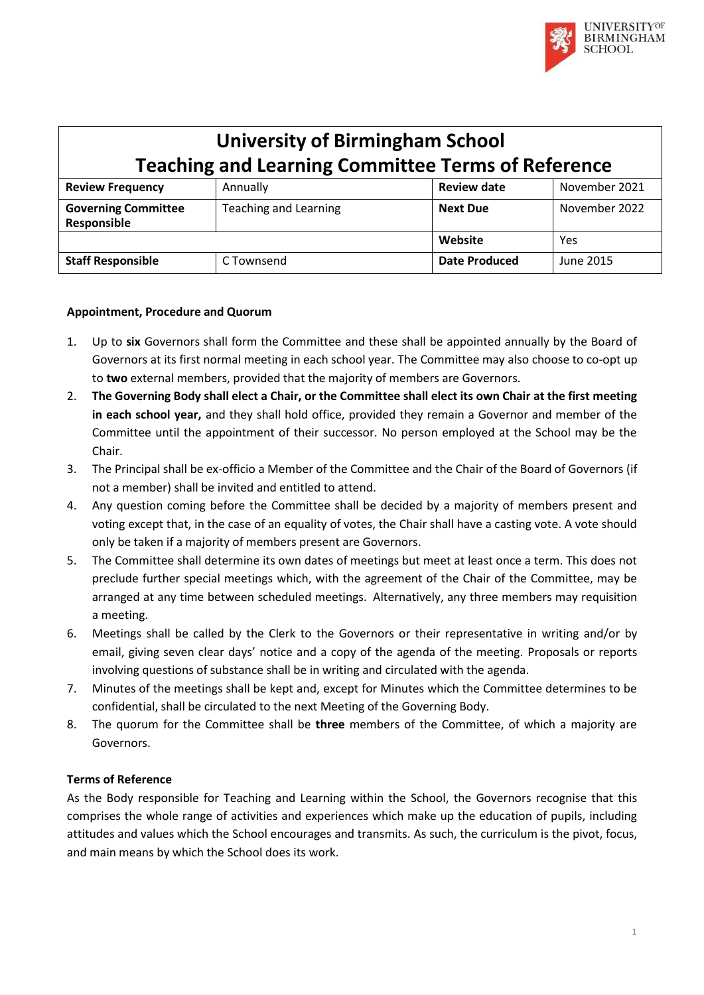

| <b>University of Birmingham School</b>                    |                              |                      |               |
|-----------------------------------------------------------|------------------------------|----------------------|---------------|
| <b>Teaching and Learning Committee Terms of Reference</b> |                              |                      |               |
| <b>Review Frequency</b>                                   | Annually                     | <b>Review date</b>   | November 2021 |
| <b>Governing Committee</b><br>Responsible                 | <b>Teaching and Learning</b> | <b>Next Due</b>      | November 2022 |
|                                                           |                              | Website              | Yes           |
| <b>Staff Responsible</b>                                  | C Townsend                   | <b>Date Produced</b> | June 2015     |

#### **Appointment, Procedure and Quorum**

- 1. Up to **six** Governors shall form the Committee and these shall be appointed annually by the Board of Governors at its first normal meeting in each school year. The Committee may also choose to co-opt up to **two** external members, provided that the majority of members are Governors.
- 2. The Governing Body shall elect a Chair, or the Committee shall elect its own Chair at the first meeting **in each school year,** and they shall hold office, provided they remain a Governor and member of the Committee until the appointment of their successor. No person employed at the School may be the Chair.
- 3. The Principal shall be ex-officio a Member of the Committee and the Chair of the Board of Governors (if not a member) shall be invited and entitled to attend.
- 4. Any question coming before the Committee shall be decided by a majority of members present and voting except that, in the case of an equality of votes, the Chair shall have a casting vote. A vote should only be taken if a majority of members present are Governors.
- 5. The Committee shall determine its own dates of meetings but meet at least once a term. This does not preclude further special meetings which, with the agreement of the Chair of the Committee, may be arranged at any time between scheduled meetings. Alternatively, any three members may requisition a meeting.
- 6. Meetings shall be called by the Clerk to the Governors or their representative in writing and/or by email, giving seven clear days' notice and a copy of the agenda of the meeting. Proposals or reports involving questions of substance shall be in writing and circulated with the agenda.
- 7. Minutes of the meetings shall be kept and, except for Minutes which the Committee determines to be confidential, shall be circulated to the next Meeting of the Governing Body.
- 8. The quorum for the Committee shall be **three** members of the Committee, of which a majority are Governors.

### **Terms of Reference**

As the Body responsible for Teaching and Learning within the School, the Governors recognise that this comprises the whole range of activities and experiences which make up the education of pupils, including attitudes and values which the School encourages and transmits. As such, the curriculum is the pivot, focus, and main means by which the School does its work.